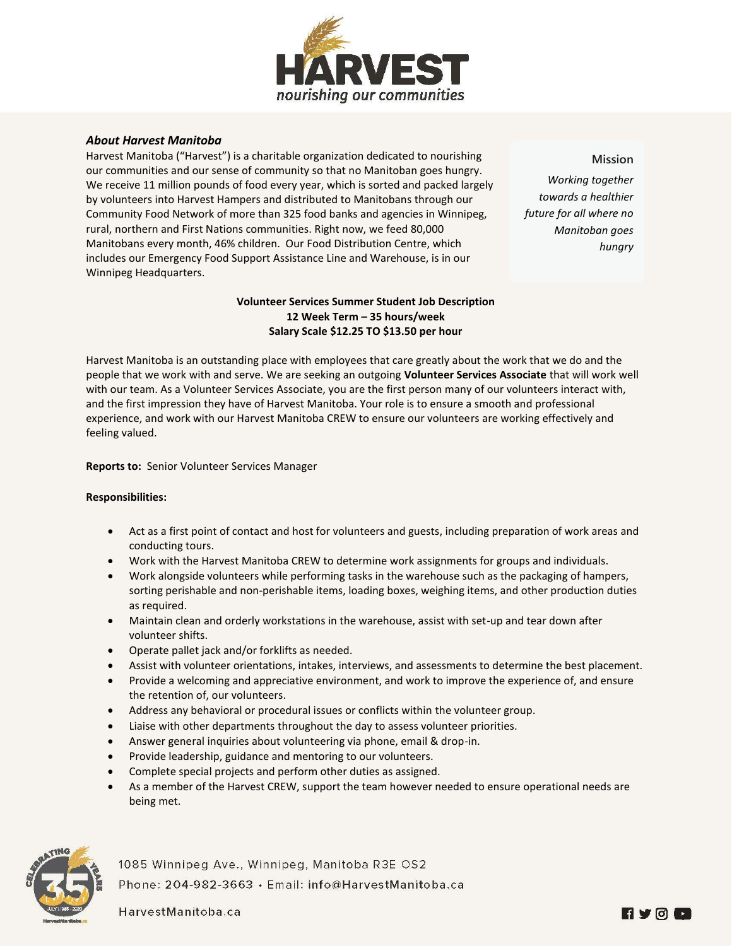

## *About Harvest Manitoba*

Harvest Manitoba ("Harvest") is a charitable organization dedicated to nourishing our communities and our sense of community so that no Manitoban goes hungry. We receive 11 million pounds of food every year, which is sorted and packed largely by volunteers into Harvest Hampers and distributed to Manitobans through our Community Food Network of more than 325 food banks and agencies in Winnipeg, rural, northern and First Nations communities. Right now, we feed 80,000 Manitobans every month, 46% children. Our Food Distribution Centre, which includes our Emergency Food Support Assistance Line and Warehouse, is in our Winnipeg Headquarters.

*Working together towards a healthier future for all where no Manitoban goes hungry*

**Mission**

## **Volunteer Services Summer Student Job Description 12 Week Term – 35 hours/week Salary Scale \$12.25 TO \$13.50 per hour**

Harvest Manitoba is an outstanding place with employees that care greatly about the work that we do and the people that we work with and serve. We are seeking an outgoing **Volunteer Services Associate** that will work well with our team. As a Volunteer Services Associate, you are the first person many of our volunteers interact with, and the first impression they have of Harvest Manitoba. Your role is to ensure a smooth and professional experience, and work with our Harvest Manitoba CREW to ensure our volunteers are working effectively and feeling valued.

**Reports to:** Senior Volunteer Services Manager

## **Responsibilities:**

- Act as a first point of contact and host for volunteers and guests, including preparation of work areas and conducting tours.
- Work with the Harvest Manitoba CREW to determine work assignments for groups and individuals.
- Work alongside volunteers while performing tasks in the warehouse such as the packaging of hampers, sorting perishable and non-perishable items, loading boxes, weighing items, and other production duties as required.
- Maintain clean and orderly workstations in the warehouse, assist with set-up and tear down after volunteer shifts.
- Operate pallet jack and/or forklifts as needed.
- Assist with volunteer orientations, intakes, interviews, and assessments to determine the best placement.
- Provide a welcoming and appreciative environment, and work to improve the experience of, and ensure the retention of, our volunteers.
- Address any behavioral or procedural issues or conflicts within the volunteer group.
- Liaise with other departments throughout the day to assess volunteer priorities.
- Answer general inquiries about volunteering via phone, email & drop-in.
- Provide leadership, guidance and mentoring to our volunteers.
- Complete special projects and perform other duties as assigned.
- As a member of the Harvest CREW, support the team however needed to ensure operational needs are being met.



1085 Winnipeg Ave., Winnipeg, Manitoba R3E OS2 Phone: 204-982-3663 · Email: info@HarvestManitoba.ca

HarvestManitoba.ca